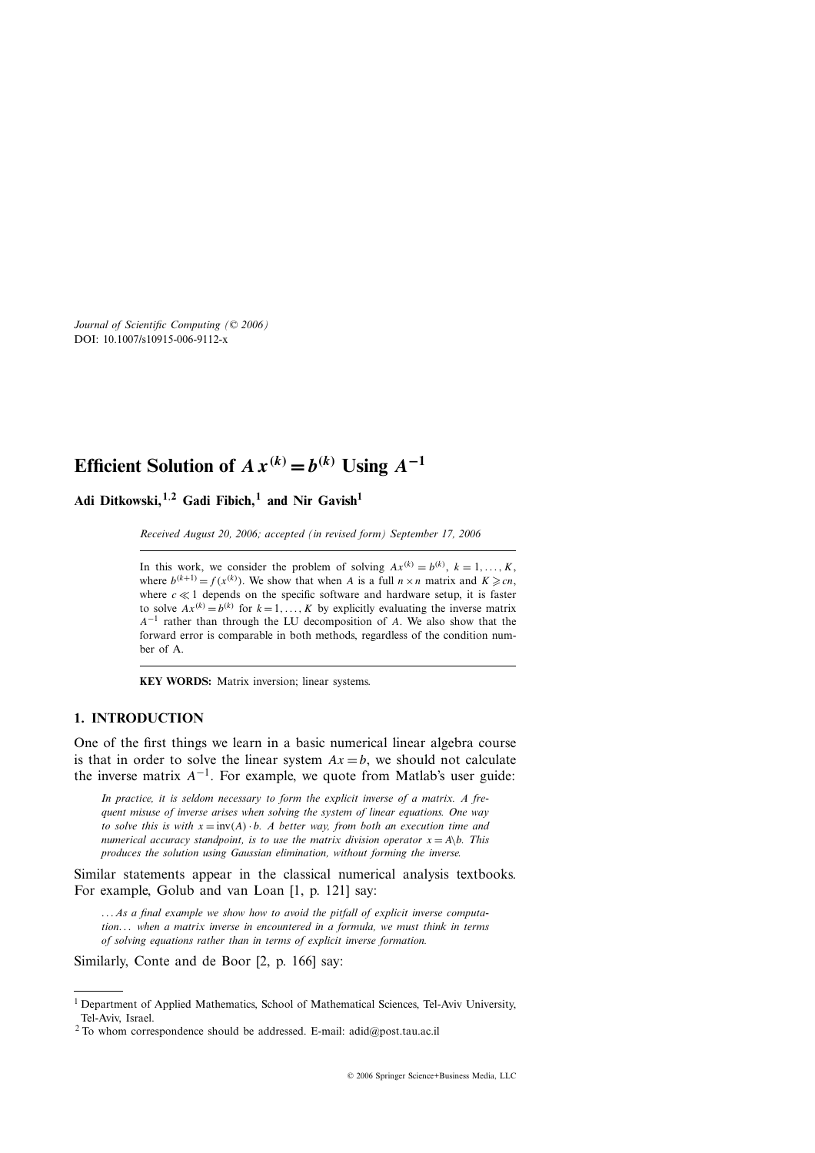**Adi Ditkowski,1***,***<sup>2</sup> Gadi Fibich,<sup>1</sup> and Nir Gavish<sup>1</sup>**

*Received August 20, 2006; accepted (in revised form) September 17, 2006*

In this work, we consider the problem of solving  $Ax^{(k)} = b^{(k)}$ ,  $k = 1, \ldots, K$ , where  $b^{(k+1)} = f(x^{(k)})$ . We show that when *A* is a full  $n \times n$  matrix and  $K \geq cn$ , where  $c \ll 1$  depends on the specific software and hardware setup, it is faster to solve  $Ax^{(k)} = b^{(k)}$  for  $k = 1, \ldots, K$  by explicitly evaluating the inverse matrix *A*−<sup>1</sup> rather than through the LU decomposition of *A*. We also show that the forward error is comparable in both methods, regardless of the condition number of A.

**KEY WORDS:** Matrix inversion; linear systems.

# **1. INTRODUCTION**

One of the first things we learn in a basic numerical linear algebra course is that in order to solve the linear system  $Ax = b$ , we should not calculate the inverse matrix  $A^{-1}$ . For example, we quote from Matlab's user guide:

*In practice, it is seldom necessary to form the explicit inverse of a matrix. A frequent misuse of inverse arises when solving the system of linear equations. One way to solve this is with*  $x = inv(A) \cdot b$ *. A better way, from both an execution time and numerical accuracy standpoint, is to use the matrix division operator*  $x = A \setminus b$ *. This produces the solution using Gaussian elimination, without forming the inverse.*

Similar statements appear in the classical numerical analysis textbooks. For example, Golub and van Loan [1, p. 121] say:

*... As a final example we show how to avoid the pitfall of explicit inverse computation... when a matrix inverse in encountered in a formula, we must think in terms of solving equations rather than in terms of explicit inverse formation.*

Similarly, Conte and de Boor [2, p. 166] say:

<sup>&</sup>lt;sup>1</sup> Department of Applied Mathematics, School of Mathematical Sciences, Tel-Aviv University, Tel-Aviv, Israel.

<sup>&</sup>lt;sup>2</sup> To whom correspondence should be addressed. E-mail: adid@post.tau.ac.il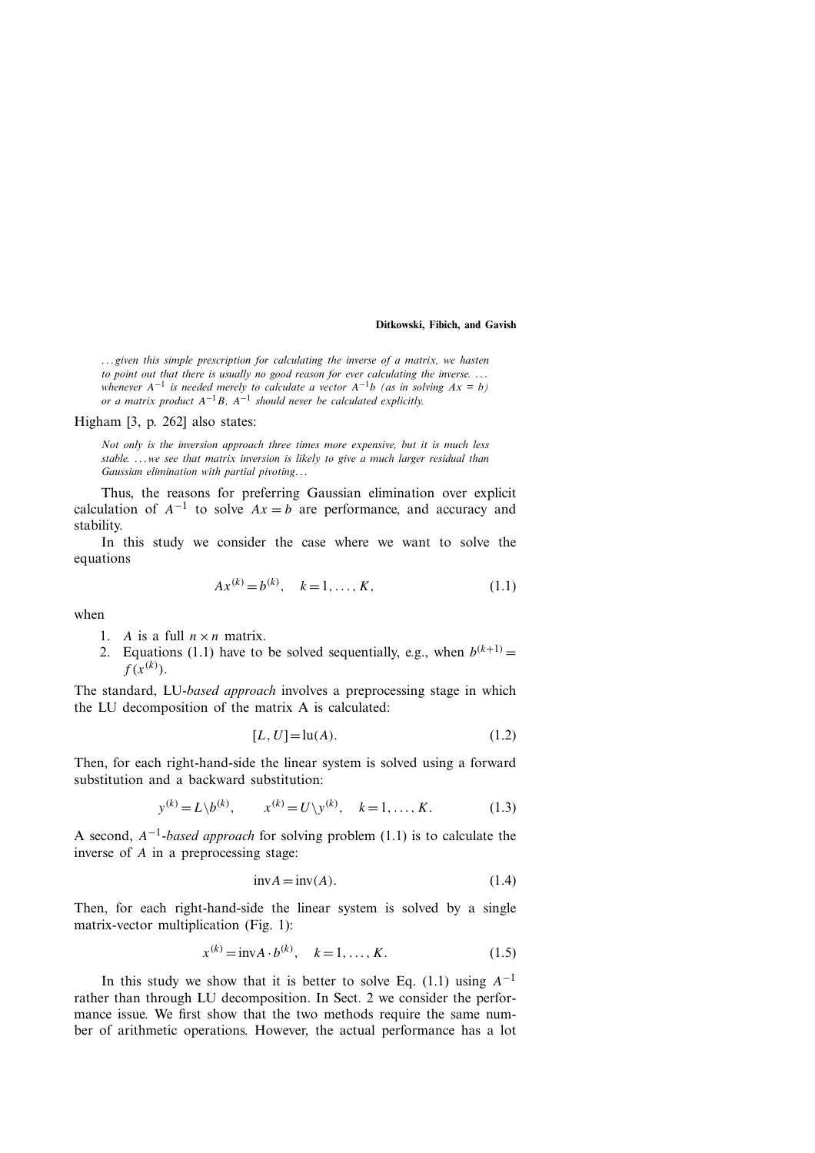*... given this simple prescription for calculating the inverse of a matrix, we hasten to point out that there is usually no good reason for ever calculating the inverse. ... whenever*  $A^{-1}$  *is needed merely to calculate a vector*  $A^{-1}b$  *(as in solving*  $Ax = b$ *) or a matrix product*  $A^{-1}B$ *,*  $A^{-1}$  *should never be calculated explicitly.* 

## Higham [3, p. 262] also states:

*Not only is the inversion approach three times more expensive, but it is much less stable. ...we see that matrix inversion is likely to give a much larger residual than Gaussian elimination with partial pivoting...*

Thus, the reasons for preferring Gaussian elimination over explicit calculation of  $A^{-1}$  to solve  $Ax = b$  are performance, and accuracy and stability.

In this study we consider the case where we want to solve the equations

$$
Ax^{(k)} = b^{(k)}, \quad k = 1, \dots, K,
$$
\n(1.1)

when

- 1. *A* is a full  $n \times n$  matrix.
- 2. Equations (1.1) have to be solved sequentially, e.g., when  $b^{(k+1)} =$  $f(x^{(k)})$ .

The standard, LU-*based approach* involves a preprocessing stage in which the LU decomposition of the matrix A is calculated:

$$
[L, U] = \ln(A). \tag{1.2}
$$

Then, for each right-hand-side the linear system is solved using a forward substitution and a backward substitution:

$$
y^{(k)} = L \backslash b^{(k)}, \qquad x^{(k)} = U \backslash y^{(k)}, \quad k = 1, ..., K.
$$
 (1.3)

A second, *A*−1*-based approach* for solving problem (1.1) is to calculate the inverse of *A* in a preprocessing stage:

$$
invA = inv(A). \tag{1.4}
$$

Then, for each right-hand-side the linear system is solved by a single matrix-vector multiplication (Fig. 1):

$$
x^{(k)} = \text{inv}A \cdot b^{(k)}, \quad k = 1, ..., K.
$$
 (1.5)

In this study we show that it is better to solve Eq. (1.1) using  $A^{-1}$ rather than through LU decomposition. In Sect. 2 we consider the performance issue. We first show that the two methods require the same number of arithmetic operations. However, the actual performance has a lot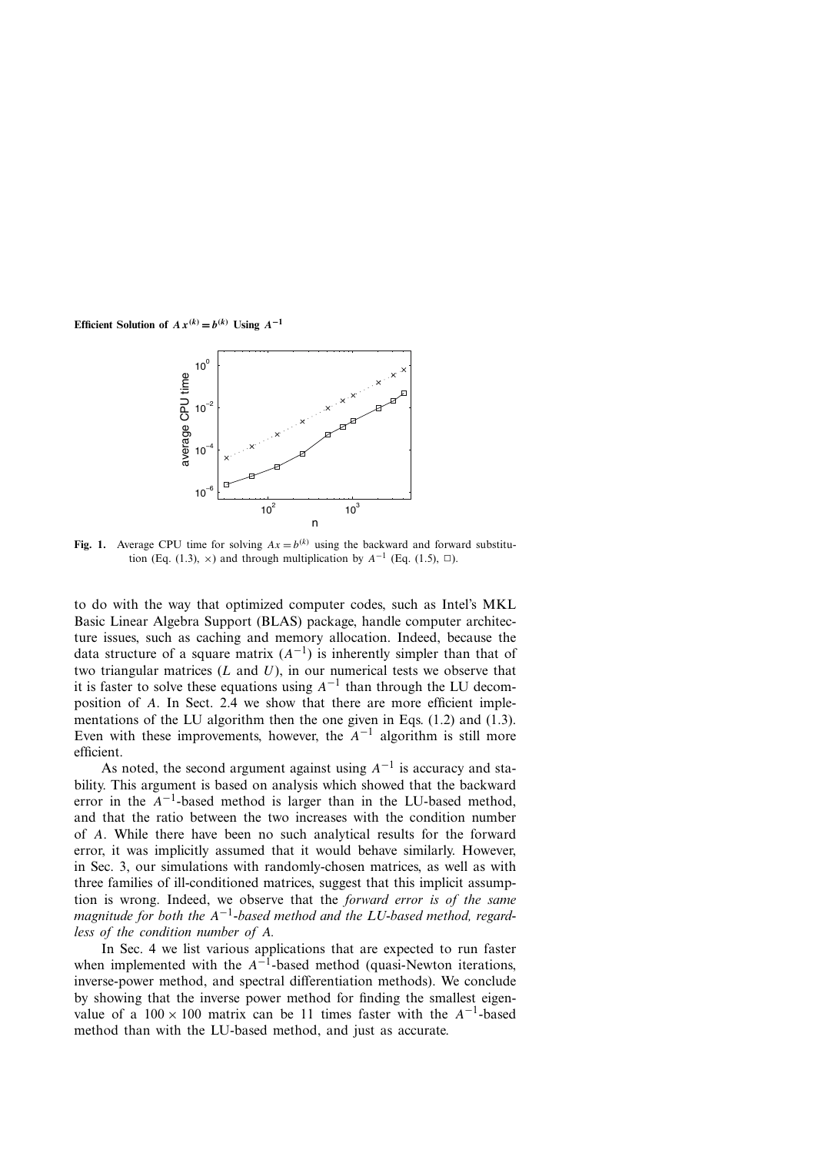

**Fig. 1.** Average CPU time for solving  $Ax = b^{(k)}$  using the backward and forward substitution (Eq. (1.3),  $\times$ ) and through multiplication by *A*<sup>-1</sup> (Eq. (1.5), □).

to do with the way that optimized computer codes, such as Intel's MKL Basic Linear Algebra Support (BLAS) package, handle computer architecture issues, such as caching and memory allocation. Indeed, because the data structure of a square matrix  $(A^{-1})$  is inherently simpler than that of two triangular matrices (*L* and *U*), in our numerical tests we observe that it is faster to solve these equations using  $A^{-1}$  than through the LU decomposition of *A*. In Sect. 2.4 we show that there are more efficient implementations of the LU algorithm then the one given in Eqs. (1.2) and (1.3). Even with these improvements, however, the  $A^{-1}$  algorithm is still more efficient.

As noted, the second argument against using *A*−<sup>1</sup> is accuracy and stability. This argument is based on analysis which showed that the backward error in the  $A^{-1}$ -based method is larger than in the LU-based method, and that the ratio between the two increases with the condition number of *A*. While there have been no such analytical results for the forward error, it was implicitly assumed that it would behave similarly. However, in Sec. 3, our simulations with randomly-chosen matrices, as well as with three families of ill-conditioned matrices, suggest that this implicit assumption is wrong. Indeed, we observe that the *forward error is of the same magnitude for both the A*−1*-based method and the LU-based method, regardless of the condition number of A.*

In Sec. 4 we list various applications that are expected to run faster when implemented with the  $A^{-1}$ -based method (quasi-Newton iterations, inverse-power method, and spectral differentiation methods). We conclude by showing that the inverse power method for finding the smallest eigenvalue of a  $100 \times 100$  matrix can be 11 times faster with the  $A^{-1}$ -based method than with the LU-based method, and just as accurate.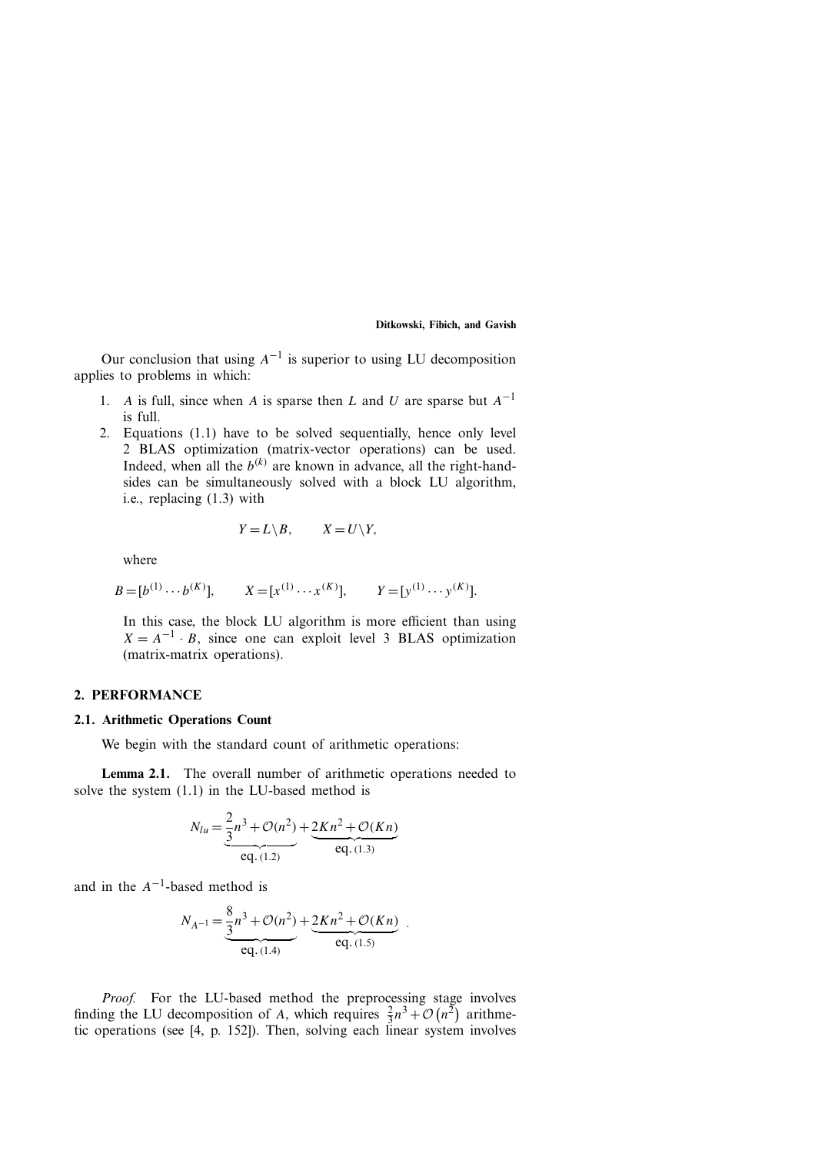Our conclusion that using  $A^{-1}$  is superior to using LU decomposition applies to problems in which:

- 1. *A* is full, since when *A* is sparse then *L* and *U* are sparse but  $A^{-1}$ is full.
- 2. Equations (1.1) have to be solved sequentially, hence only level 2 BLAS optimization (matrix-vector operations) can be used. Indeed, when all the  $b^{(k)}$  are known in advance, all the right-handsides can be simultaneously solved with a block LU algorithm, i.e., replacing (1.3) with

$$
Y = L \setminus B, \qquad X = U \setminus Y,
$$

where

$$
B = [b^{(1)} \cdots b^{(K)}],
$$
  $X = [x^{(1)} \cdots x^{(K)}],$   $Y = [y^{(1)} \cdots y^{(K)}].$ 

In this case, the block LU algorithm is more efficient than using  $X = A^{-1} \cdot B$ , since one can exploit level 3 BLAS optimization (matrix-matrix operations).

#### **2. PERFORMANCE**

# **2.1. Arithmetic Operations Count**

We begin with the standard count of arithmetic operations:

**Lemma 2.1.** The overall number of arithmetic operations needed to solve the system (1.1) in the LU-based method is

$$
N_{lu} = \underbrace{\frac{2}{3}n^3 + \mathcal{O}(n^2)}_{\text{eq. (1.2)}} + \underbrace{2Kn^2 + \mathcal{O}(Kn)}_{\text{eq. (1.3)}}
$$

and in the *A*−1-based method is

$$
N_{A^{-1}} = \underbrace{\frac{8}{3}n^3 + \mathcal{O}(n^2)}_{\text{eq. (1.4)}} + \underbrace{2Kn^2 + \mathcal{O}(Kn)}_{\text{eq. (1.5)}}.
$$

*Proof.* For the LU-based method the preprocessing stage involves *Proof.* For the LU-based method the preprocessing stage involves finding the LU decomposition of *A*, which requires  $\frac{2}{3}n^3 + \mathcal{O}(n^2)$  arithmetic operations (see [4, p. 152]). Then, solving each linear system involves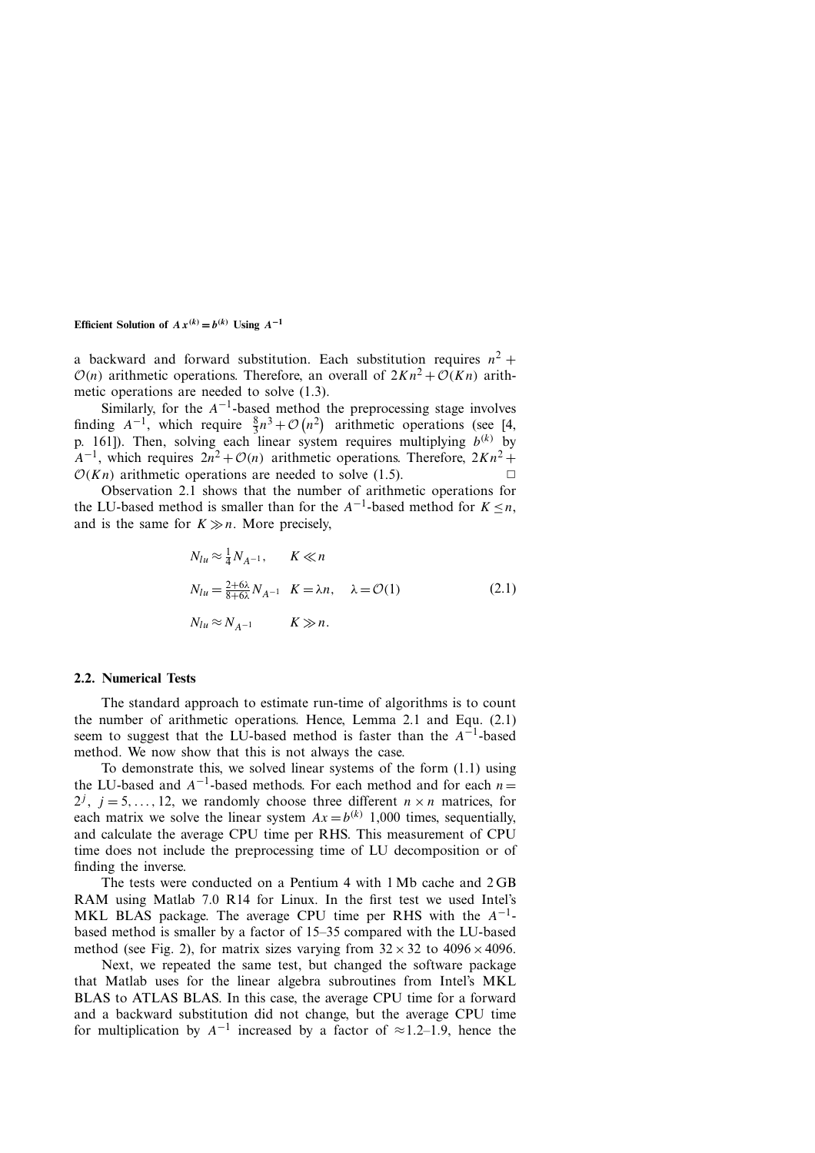a backward and forward substitution. Each substitution requires  $n^2$  +  $O(n)$  arithmetic operations. Therefore, an overall of  $2Kn^2 + O(Kn)$  arithmetic operations are needed to solve (1.3).

Similarly, for the  $A^{-1}$ -based method the preprocessing stage involves Similarly, for the  $A^{-1}$ -based method the preprocessing stage involves finding  $A^{-1}$ , which require  $\frac{8}{3}n^3 + \mathcal{O}(n^2)$  arithmetic operations (see [4, p. 161]). Then, solving each linear system requires multiplying  $b^{(k)}$  by  $A^{-1}$ , which requires  $2n^2 + \mathcal{O}(n)$  arithmetic operations. Therefore,  $2Kn^2 +$  $O(Kn)$  arithmetic operations are needed to solve (1.5).

Observation 2.1 shows that the number of arithmetic operations for the LU-based method is smaller than for the  $A^{-1}$ -based method for  $K \leq n$ , and is the same for  $K \gg n$ . More precisely,

$$
N_{lu} \approx \frac{1}{4} N_{A^{-1}}, \qquad K \ll n
$$
  
\n
$$
N_{lu} = \frac{2 + 6\lambda}{8 + 6\lambda} N_{A^{-1}} \quad K = \lambda n, \quad \lambda = \mathcal{O}(1)
$$
  
\n
$$
N_{lu} \approx N_{A^{-1}} \qquad K \gg n.
$$
  
\n(2.1)

## **2.2. Numerical Tests**

The standard approach to estimate run-time of algorithms is to count the number of arithmetic operations. Hence, Lemma 2.1 and Equ. (2.1) seem to suggest that the LU-based method is faster than the  $A^{-1}$ -based method. We now show that this is not always the case.

To demonstrate this, we solved linear systems of the form (1.1) using the LU-based and *<sup>A</sup>*−1-based methods. For each method and for each *<sup>n</sup>*<sup>=</sup>  $2^j$ ,  $j = 5, \ldots, 12$ , we randomly choose three different  $n \times n$  matrices, for each matrix we solve the linear system  $Ax = b^{(k)}$  1,000 times, sequentially, and calculate the average CPU time per RHS. This measurement of CPU time does not include the preprocessing time of LU decomposition or of finding the inverse.

The tests were conducted on a Pentium 4 with 1 Mb cache and 2 GB RAM using Matlab 7.0 R14 for Linux. In the first test we used Intel's MKL BLAS package. The average CPU time per RHS with the *A*−1 based method is smaller by a factor of 15–35 compared with the LU-based method (see Fig. 2), for matrix sizes varying from  $32 \times 32$  to  $4096 \times 4096$ .

Next, we repeated the same test, but changed the software package that Matlab uses for the linear algebra subroutines from Intel's MKL BLAS to ATLAS BLAS. In this case, the average CPU time for a forward and a backward substitution did not change, but the average CPU time for multiplication by  $A^{-1}$  increased by a factor of  $\approx$ 1.2–1.9, hence the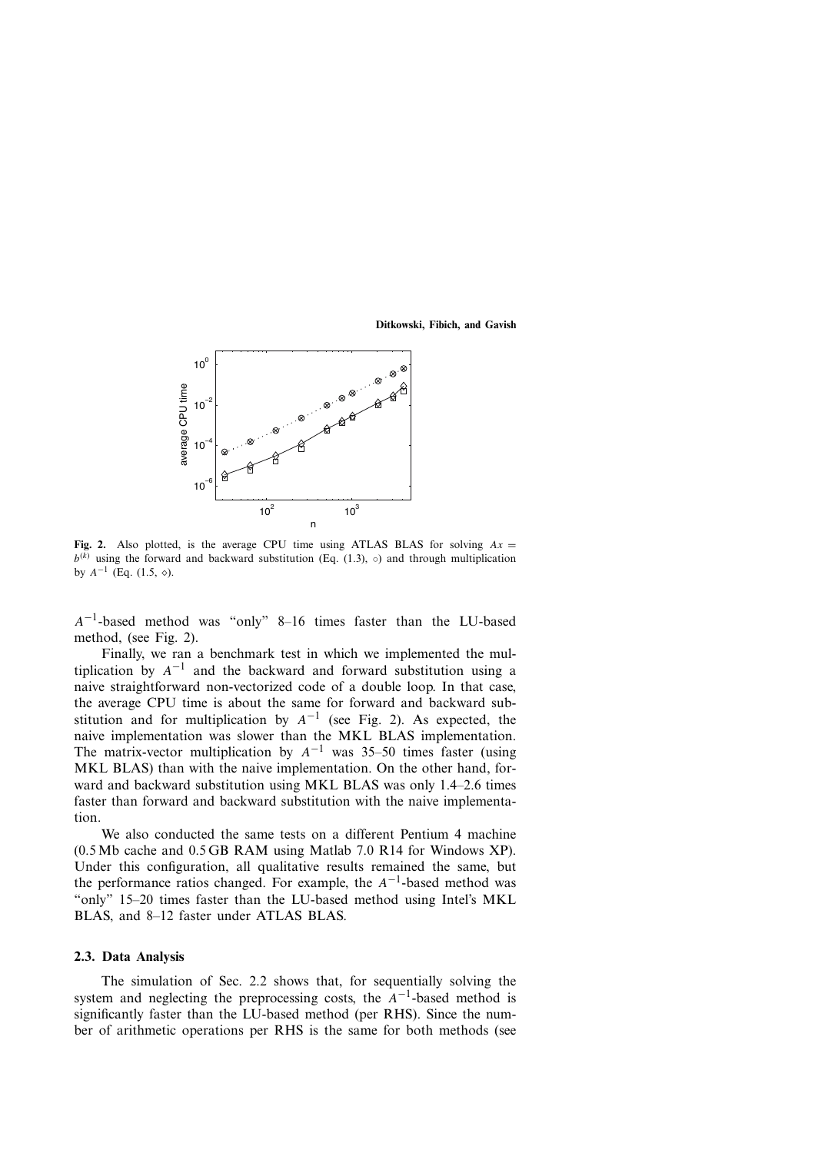

**Fig. 2.** Also plotted, is the average CPU time using ATLAS BLAS for solving  $Ax =$  $b^{(k)}$  using the forward and backward substitution (Eq. (1.3), ∘) and through multiplication by  $A^{-1}$  (Eq. (1.5,  $\diamond$ ).

*A*−1-based method was "only" 8–16 times faster than the LU-based method, (see Fig. 2).

Finally, we ran a benchmark test in which we implemented the multiplication by  $A^{-1}$  and the backward and forward substitution using a naive straightforward non-vectorized code of a double loop. In that case, the average CPU time is about the same for forward and backward substitution and for multiplication by  $A^{-1}$  (see Fig. 2). As expected, the naive implementation was slower than the MKL BLAS implementation. The matrix-vector multiplication by  $A^{-1}$  was 35–50 times faster (using MKL BLAS) than with the naive implementation. On the other hand, forward and backward substitution using MKL BLAS was only 1.4–2.6 times faster than forward and backward substitution with the naive implementation.

We also conducted the same tests on a different Pentium 4 machine (0.5 Mb cache and 0.5 GB RAM using Matlab 7.0 R14 for Windows XP). Under this configuration, all qualitative results remained the same, but the performance ratios changed. For example, the *A*−1-based method was "only" 15–20 times faster than the LU-based method using Intel's MKL BLAS, and 8–12 faster under ATLAS BLAS.

## **2.3. Data Analysis**

The simulation of Sec. 2.2 shows that, for sequentially solving the system and neglecting the preprocessing costs, the  $A^{-1}$ -based method is significantly faster than the LU-based method (per RHS). Since the number of arithmetic operations per RHS is the same for both methods (see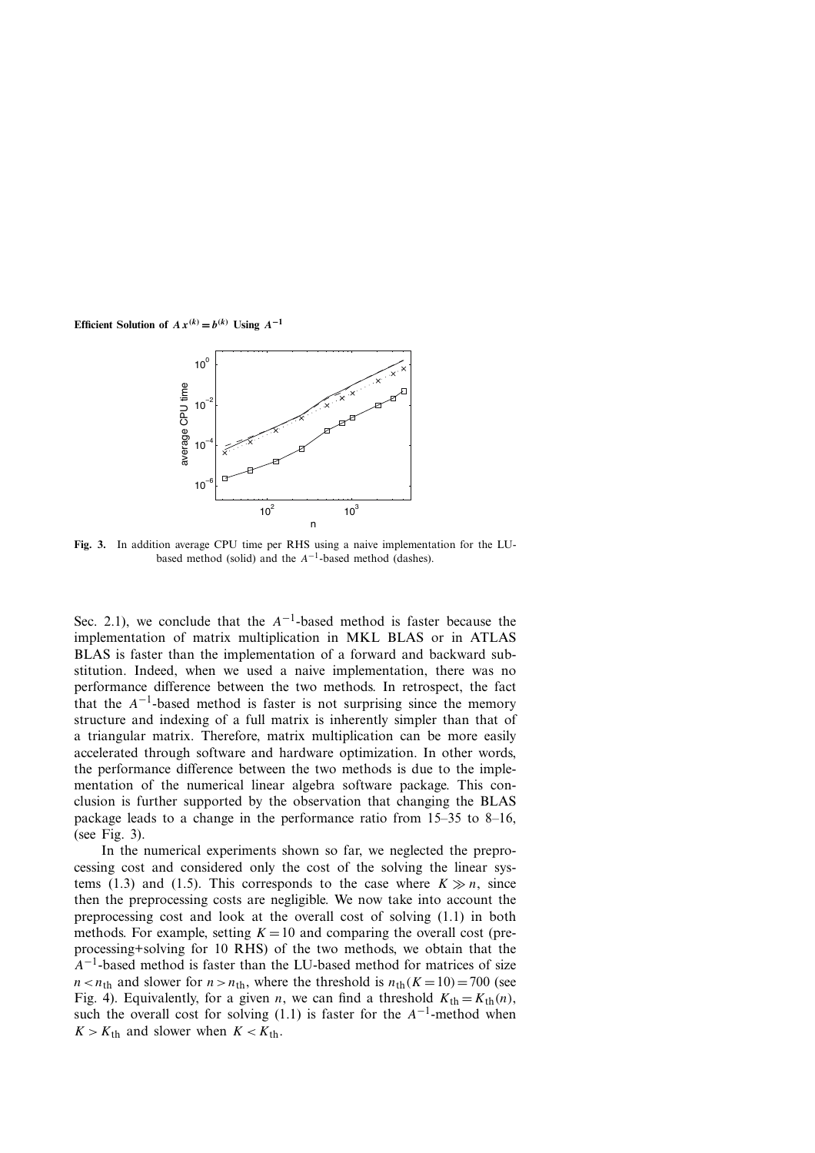

**Fig. 3.** In addition average CPU time per RHS using a naive implementation for the LUbased method (solid) and the *A*−1-based method (dashes).

Sec. 2.1), we conclude that the  $A^{-1}$ -based method is faster because the implementation of matrix multiplication in MKL BLAS or in ATLAS BLAS is faster than the implementation of a forward and backward substitution. Indeed, when we used a naive implementation, there was no performance difference between the two methods. In retrospect, the fact that the  $A^{-1}$ -based method is faster is not surprising since the memory structure and indexing of a full matrix is inherently simpler than that of a triangular matrix. Therefore, matrix multiplication can be more easily accelerated through software and hardware optimization. In other words, the performance difference between the two methods is due to the implementation of the numerical linear algebra software package. This conclusion is further supported by the observation that changing the BLAS package leads to a change in the performance ratio from 15–35 to 8–16, (see Fig. 3).

In the numerical experiments shown so far, we neglected the preprocessing cost and considered only the cost of the solving the linear systems (1.3) and (1.5). This corresponds to the case where  $K \gg n$ , since then the preprocessing costs are negligible. We now take into account the preprocessing cost and look at the overall cost of solving (1.1) in both methods. For example, setting  $K = 10$  and comparing the overall cost (preprocessing+solving for 10 RHS) of the two methods, we obtain that the *A*<sup>−1</sup>-based method is faster than the LU-based method for matrices of size  $n < n_{\text{th}}$  and slower for  $n > n_{\text{th}}$ , where the threshold is  $n_{\text{th}}(K = 10) = 700$  (see Fig. 4). Equivalently, for a given *n*, we can find a threshold  $K_{\text{th}} = K_{\text{th}}(n)$ , such the overall cost for solving (1.1) is faster for the *A*−1-method when  $K > K<sub>th</sub>$  and slower when  $K < K<sub>th</sub>$ .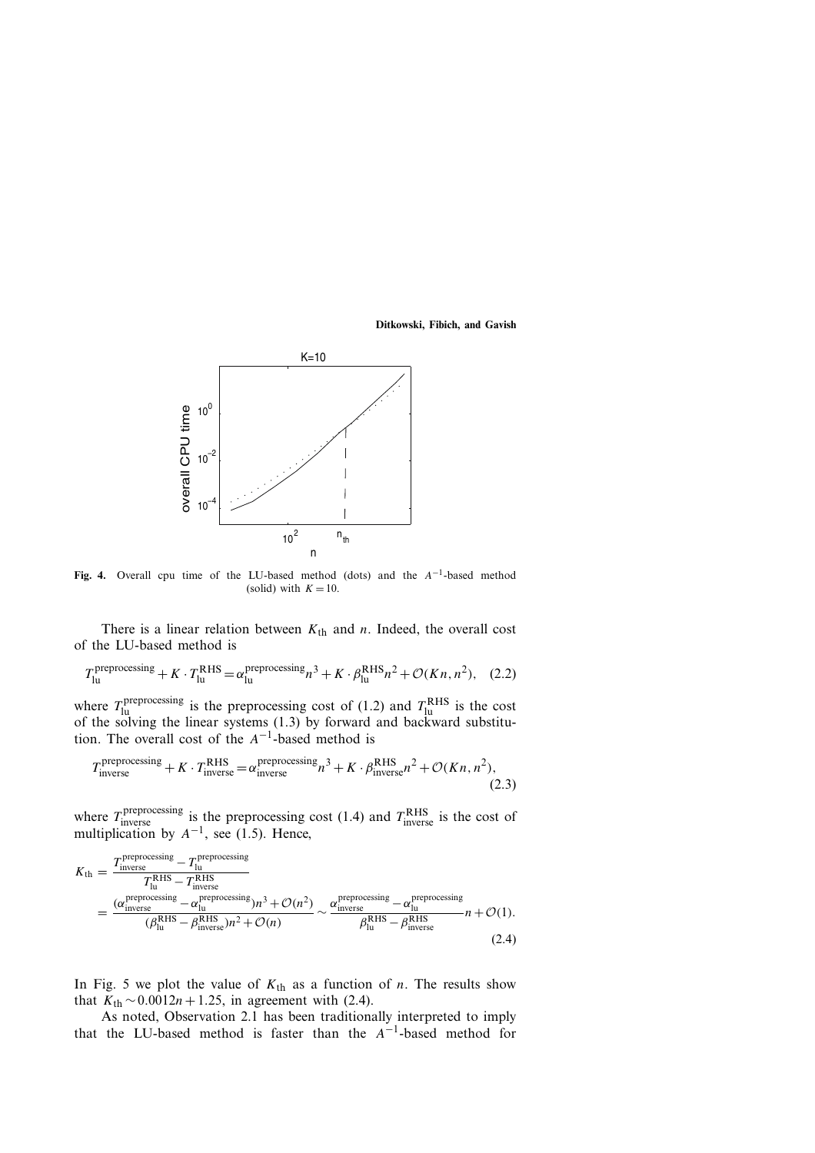

**Fig. 4.** Overall cpu time of the LU-based method (dots) and the *A*−1-based method (solid) with  $K = 10$ .

There is a linear relation between  $K_{th}$  and *n*. Indeed, the overall cost of the LU-based method is

$$
T_{\text{lu}}^{\text{preprocessing}} + K \cdot T_{\text{lu}}^{\text{RHS}} = \alpha_{\text{lu}}^{\text{preprocessing}} n^3 + K \cdot \beta_{\text{lu}}^{\text{RHS}} n^2 + \mathcal{O}(Kn, n^2), \quad (2.2)
$$

where  $T_{\text{lu}}^{\text{preprocessing}}$  is the preprocessing cost of (1.2) and  $T_{\text{lu}}^{\text{RHS}}$  is the cost of the solving the linear systems (1.3) by forward and backward substitution. The overall cost of the *A*−1-based method is

$$
T_{\text{inverse}}^{\text{preprocessing}} + K \cdot T_{\text{inverse}}^{\text{RHS}} = \alpha_{\text{inverse}}^{\text{preprocessing}} n^3 + K \cdot \beta_{\text{inverse}}^{\text{RHS}} n^2 + \mathcal{O}(Kn, n^2),\tag{2.3}
$$

where  $T_{\text{inverse}}^{\text{preprocessing}}$  is the preprocessing cost (1.4) and  $T_{\text{inverse}}^{\text{RHS}}$  is the cost of multiplication by  $A^{-1}$ , see (1.5). Hence,

$$
K_{\rm th} = \frac{T_{\rm inverse}^{\rm preprocessing} - T_{\rm lu}^{\rm preprocessing}}{T_{\rm lu}^{\rm RHS} - T_{\rm inverse}^{\rm NEV}}}{\frac{(a_{\rm inverse}^{\rm preprocessing} - \alpha_{\rm lu}^{\rm preprocessing})n^3 + \mathcal{O}(n^2)}{(\beta_{\rm lu}^{\rm RHS} - \beta_{\rm inverse}^{\rm REIS})n^2 + \mathcal{O}(n)} \sim \frac{\alpha_{\rm inverse}^{\rm preprocessing} - \alpha_{\rm lu}^{\rm preprocessing}}{\beta_{\rm lu}^{\rm RHS} - \beta_{\rm inverse}^{\rm REIS}}n + \mathcal{O}(1).}
$$
\n(2.4)

In Fig. 5 we plot the value of  $K_{\text{th}}$  as a function of *n*. The results show that  $K_{\text{th}}$  ∼0.0012*n* + 1.25, in agreement with (2.4).

As noted, Observation 2.1 has been traditionally interpreted to imply that the LU-based method is faster than the *A*−1-based method for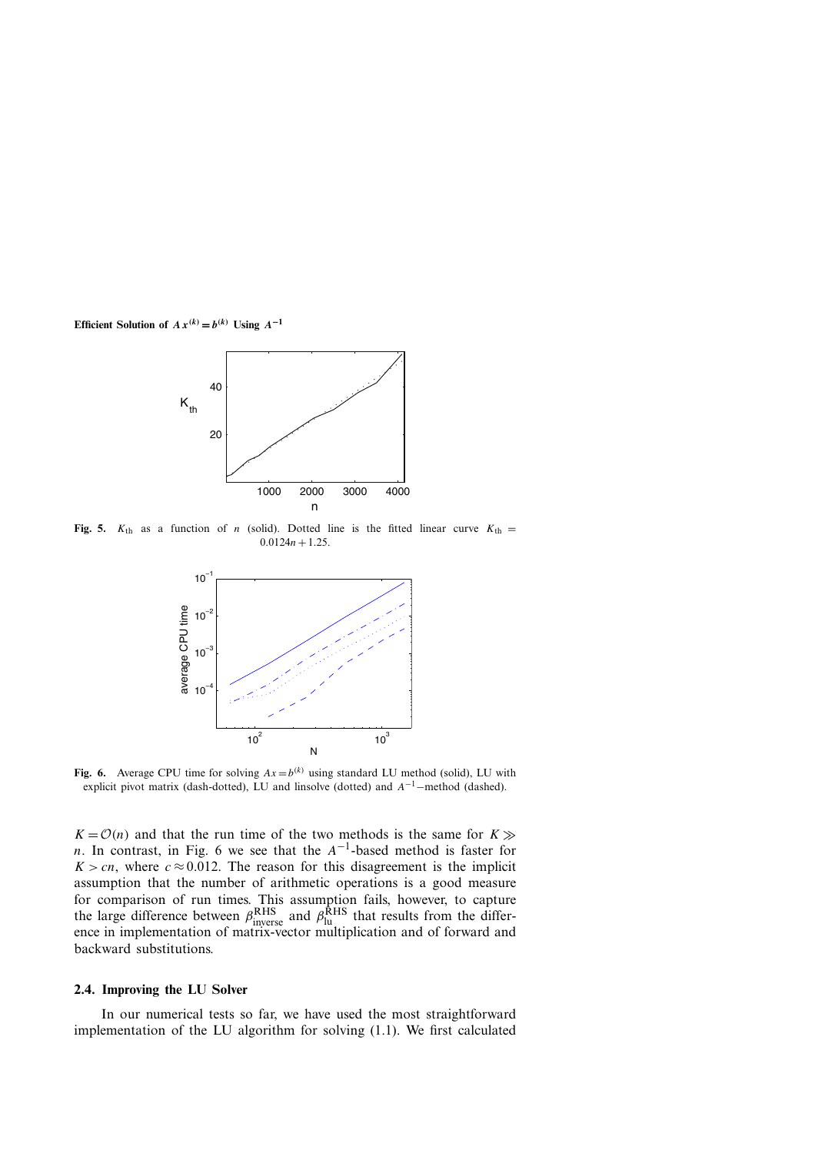

**Fig. 5.**  $K_{th}$  as a function of *n* (solid). Dotted line is the fitted linear curve  $K_{th}$  =  $0.0124n + 1.25$ .



**Fig. 6.** Average CPU time for solving  $Ax = b^{(k)}$  using standard LU method (solid), LU with explicit pivot matrix (dash-dotted), LU and linsolve (dotted) and *<sup>A</sup>*−1−method (dashed).

 $K = \mathcal{O}(n)$  and that the run time of the two methods is the same for  $K \gg$ *n*. In contrast, in Fig. 6 we see that the  $A^{-1}$ -based method is faster for  $K > cn$ , where  $c \approx 0.012$ . The reason for this disagreement is the implicit assumption that the number of arithmetic operations is a good measure for comparison of run times. This assumption fails, however, to capture the large difference between  $\beta_{\text{inverse}}^{\text{RHS}}$  and  $\beta_{\text{lu}}^{\text{RHS}}$  that results from the difference in implementation of matrix-vector multiplication and of forward and backward substitutions.

#### **2.4. Improving the LU Solver**

In our numerical tests so far, we have used the most straightforward implementation of the LU algorithm for solving (1.1). We first calculated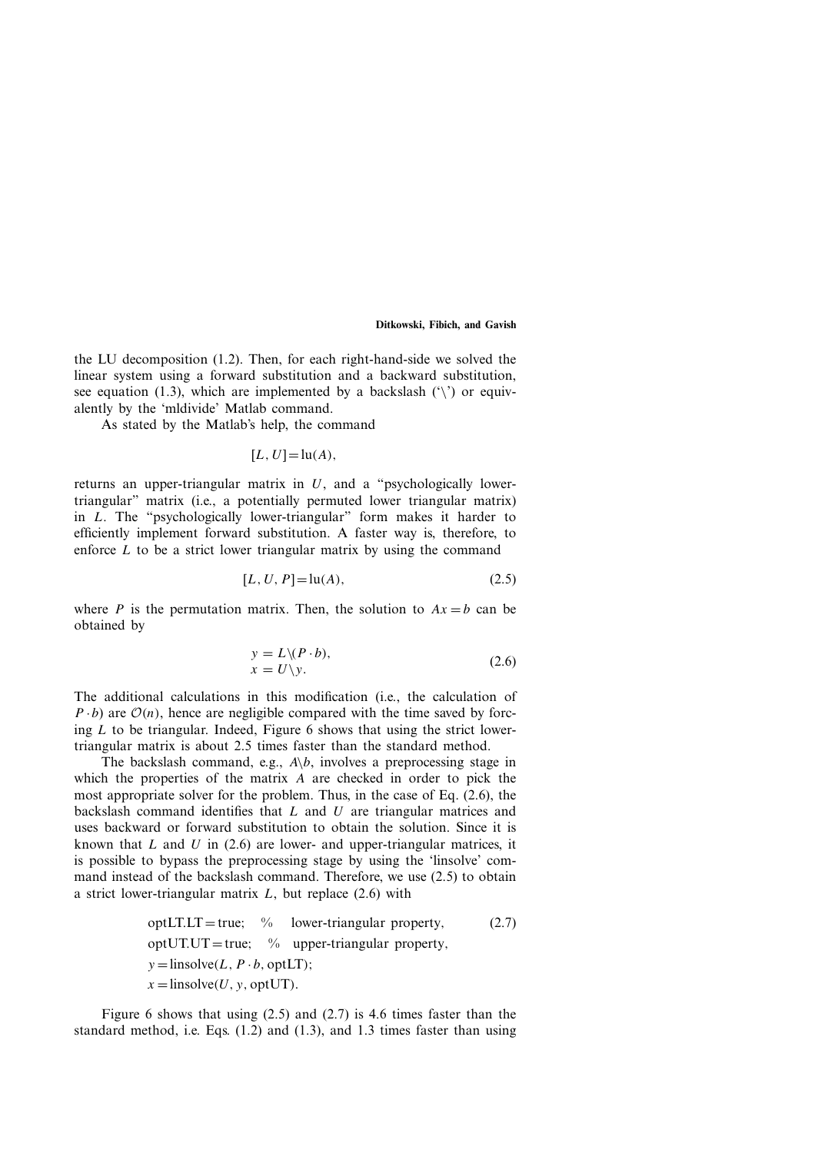the LU decomposition (1.2). Then, for each right-hand-side we solved the linear system using a forward substitution and a backward substitution, see equation (1.3), which are implemented by a backslash  $(\hat{ } \rangle)$  or equivalently by the 'mldivide' Matlab command.

As stated by the Matlab's help, the command

$$
[L, U] = \ln(A),
$$

returns an upper-triangular matrix in *U*, and a "psychologically lowertriangular" matrix (i.e., a potentially permuted lower triangular matrix) in *L*. The "psychologically lower-triangular" form makes it harder to efficiently implement forward substitution. A faster way is, therefore, to enforce  $L$  to be a strict lower triangular matrix by using the command

$$
[L, U, P] = \ln(A),
$$
\n(2.5)

where *P* is the permutation matrix. Then, the solution to  $Ax = b$  can be obtained by

$$
y = L \setminus (P \cdot b), x = U \setminus y.
$$
 (2.6)

The additional calculations in this modification (i.e., the calculation of  $P \cdot b$ ) are  $O(n)$ , hence are negligible compared with the time saved by forcing *L* to be triangular. Indeed, Figure 6 shows that using the strict lowertriangular matrix is about 2.5 times faster than the standard method.

The backslash command, e.g.,  $A\backslash b$ , involves a preprocessing stage in which the properties of the matrix *A* are checked in order to pick the most appropriate solver for the problem. Thus, in the case of Eq. (2.6), the backslash command identifies that *L* and *U* are triangular matrices and uses backward or forward substitution to obtain the solution. Since it is known that *L* and *U* in (2.6) are lower- and upper-triangular matrices, it is possible to bypass the preprocessing stage by using the 'linsolve' command instead of the backslash command. Therefore, we use (2.5) to obtain a strict lower-triangular matrix *L*, but replace (2.6) with

optLTLT = true; % lower-triangular property, 
$$
(2.7)
$$
   
\n $y = \text{linsolve}(L, P \cdot b, \text{optUT})$ ;   
\n $x = \text{linsolve}(U, y, \text{optUT})$ .

Figure 6 shows that using (2.5) and (2.7) is 4.6 times faster than the standard method, i.e. Eqs. (1.2) and (1.3), and 1.3 times faster than using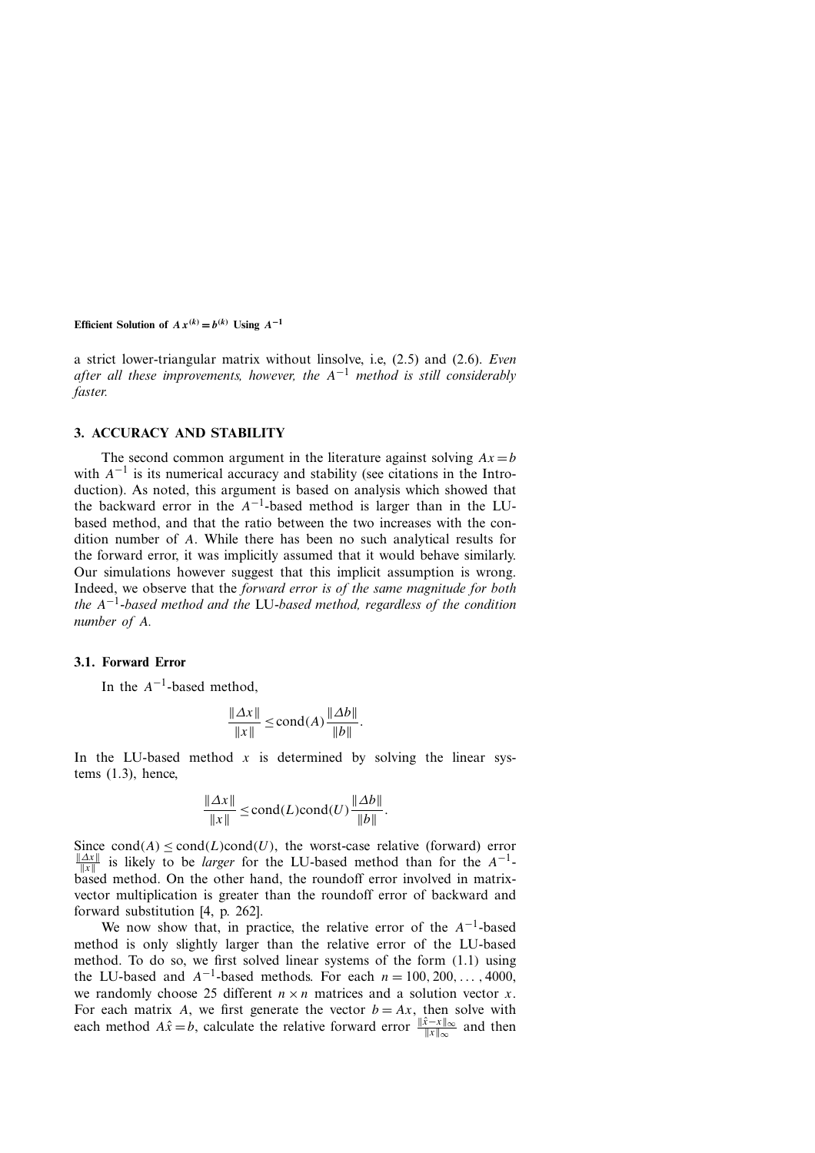a strict lower-triangular matrix without linsolve, i.e, (2.5) and (2.6). *Even after all these improvements, however, the A*−<sup>1</sup> *method is still considerably faster.*

# **3. ACCURACY AND STABILITY**

The second common argument in the literature against solving  $Ax = b$ with  $A^{-1}$  is its numerical accuracy and stability (see citations in the Introduction). As noted, this argument is based on analysis which showed that the backward error in the  $A^{-1}$ -based method is larger than in the LUbased method, and that the ratio between the two increases with the condition number of *A*. While there has been no such analytical results for the forward error, it was implicitly assumed that it would behave similarly. Our simulations however suggest that this implicit assumption is wrong. Indeed, we observe that the *forward error is of the same magnitude for both the A*−1*-based method and the* LU-*based method, regardless of the condition number of A.*

## **3.1. Forward Error**

In the  $A^{-1}$ -based method,

$$
\frac{\|\Delta x\|}{\|x\|} \le \text{cond}(A) \frac{\|\Delta b\|}{\|b\|}.
$$

In the LU-based method  $x$  is determined by solving the linear systems  $(1.3)$ , hence,

$$
\frac{\|\Delta x\|}{\|x\|} \le \text{cond}(L)\text{cond}(U)\frac{\|\Delta b\|}{\|b\|}.
$$

Since  $cond(A) < cond(L)cond(U)$ , the worst-case relative (forward) error *<u>* $\frac{||Ax||}{||x||}$ *</u> is likely to be <i>larger* for the LU-based method than for the *A*<sup>−1</sup>based method. On the other hand, the roundoff error involved in matrixvector multiplication is greater than the roundoff error of backward and forward substitution [4, p. 262].

We now show that, in practice, the relative error of the *A*−1-based method is only slightly larger than the relative error of the LU-based method. To do so, we first solved linear systems of the form *(*1*.*1*)* using the LU-based and  $A^{-1}$ -based methods. For each  $n = 100, 200, \ldots, 4000$ , we randomly choose 25 different  $n \times n$  matrices and a solution vector *x*. For each matrix *A*, we first generate the vector  $b = Ax$ , then solve with each method *A* $\hat{x} = b$ , calculate the relative forward error  $\frac{\|\hat{x} - x\|_{\infty}}{\|x\|_{\infty}}$  and then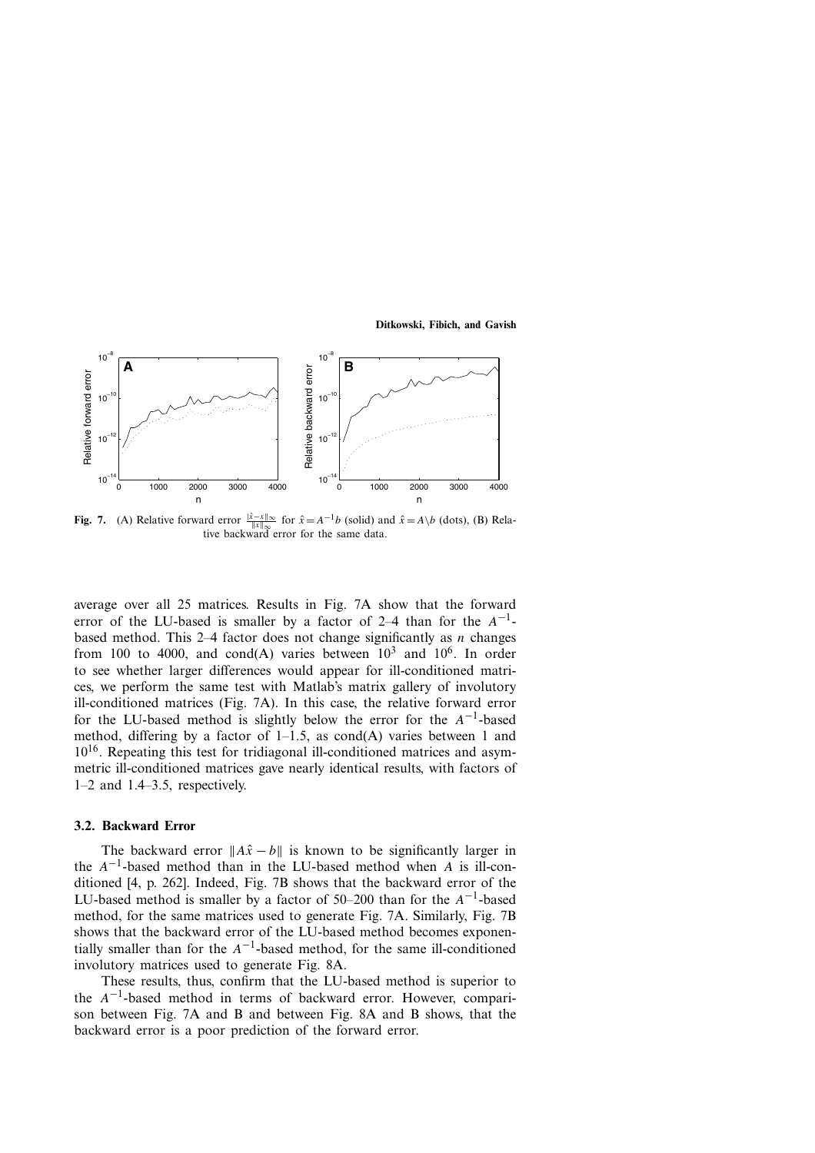

**Fig. 7.** (A) Relative forward error  $\frac{|\hat{x} - x| \le \infty}{\|x\| \le \infty}$  for  $\hat{x} = A^{-1}b$  (solid) and  $\hat{x} = A \setminus b$  (dots), (B) Relative backward error for the same data.

average over all 25 matrices. Results in Fig. 7A show that the forward error of the LU-based is smaller by a factor of 2–4 than for the *A*−1 based method. This 2–4 factor does not change significantly as *n* changes from 100 to 4000, and cond(A) varies between  $10^3$  and  $10^6$ . In order to see whether larger differences would appear for ill-conditioned matrices, we perform the same test with Matlab's matrix gallery of involutory ill-conditioned matrices (Fig. 7A). In this case, the relative forward error for the LU-based method is slightly below the error for the *A*−1-based method, differing by a factor of  $1-1.5$ , as cond(A) varies between 1 and  $10^{16}$ . Repeating this test for tridiagonal ill-conditioned matrices and asymmetric ill-conditioned matrices gave nearly identical results, with factors of 1–2 and 1.4–3.5, respectively.

#### **3.2. Backward Error**

The backward error  $||A\hat{x} - b||$  is known to be significantly larger in the *A*−1-based method than in the LU-based method when *A* is ill-conditioned [4, p. 262]. Indeed, Fig. 7B shows that the backward error of the LU-based method is smaller by a factor of 50–200 than for the *A*−1-based method, for the same matrices used to generate Fig. 7A. Similarly, Fig. 7B shows that the backward error of the LU-based method becomes exponentially smaller than for the  $A^{-1}$ -based method, for the same ill-conditioned involutory matrices used to generate Fig. 8A.

These results, thus, confirm that the LU-based method is superior to the *A*−1-based method in terms of backward error. However, comparison between Fig. 7A and B and between Fig. 8A and B shows, that the backward error is a poor prediction of the forward error.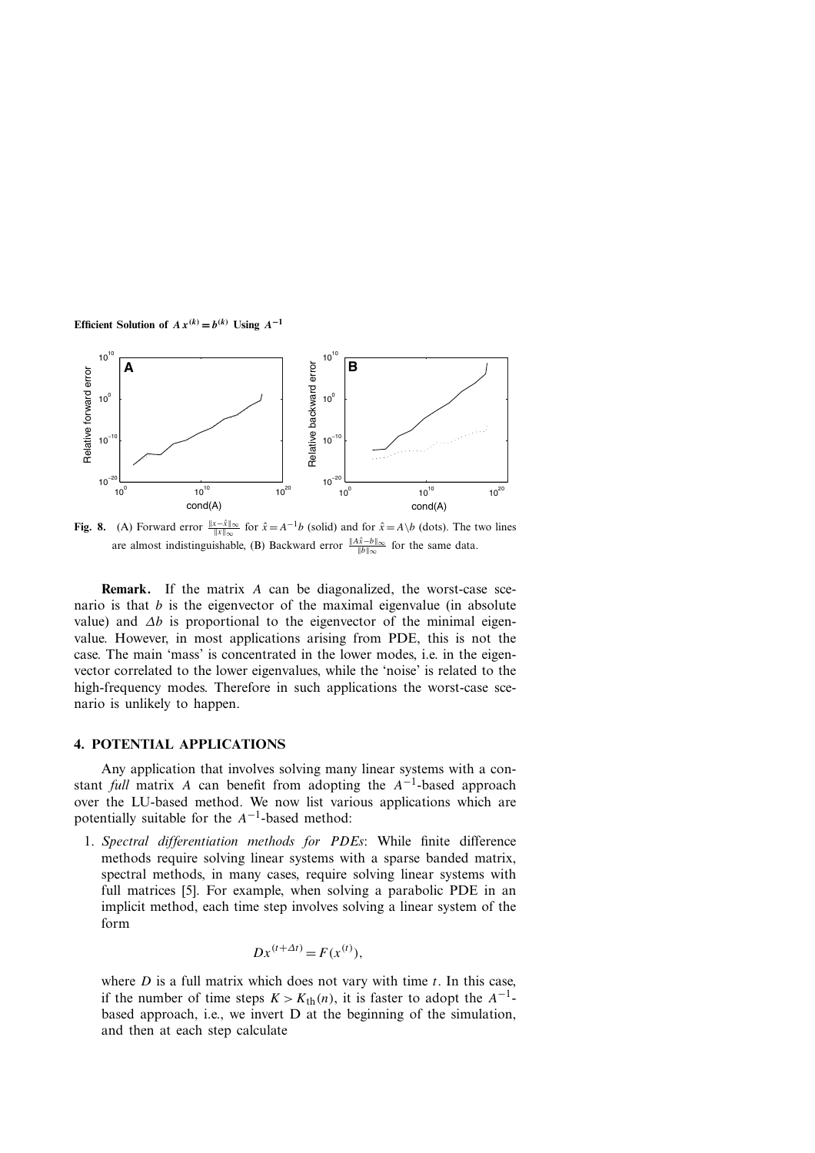

**Fig. 8.** (A) Forward error  $\frac{\|x-\hat{x}\|_{\infty}}{\|x\|_{\infty}}$  for  $\hat{x} = A^{-1}b$  (solid) and for  $\hat{x} = A \setminus b$  (dots). The two lines are almost indistinguishable, (B) Backward error  $\frac{||A\hat{x} - b||_{\infty}}{||b||_{\infty}}$  for the same data.

**Remark.** If the matrix *A* can be diagonalized, the worst-case scenario is that *b* is the eigenvector of the maximal eigenvalue (in absolute value) and *∆b* is proportional to the eigenvector of the minimal eigenvalue. However, in most applications arising from PDE, this is not the case. The main 'mass' is concentrated in the lower modes, i.e. in the eigenvector correlated to the lower eigenvalues, while the 'noise' is related to the high-frequency modes. Therefore in such applications the worst-case scenario is unlikely to happen.

# **4. POTENTIAL APPLICATIONS**

Any application that involves solving many linear systems with a constant *full* matrix *A* can benefit from adopting the *A*−1-based approach over the LU-based method. We now list various applications which are potentially suitable for the *A*−1-based method:

1. *Spectral differentiation methods for PDEs*: While finite difference methods require solving linear systems with a sparse banded matrix, spectral methods, in many cases, require solving linear systems with full matrices [5]. For example, when solving a parabolic PDE in an implicit method, each time step involves solving a linear system of the form

$$
Dx^{(t+\Delta t)} = F(x^{(t)}),
$$

where *D* is a full matrix which does not vary with time *t*. In this case, if the number of time steps  $K > K<sub>th</sub>(n)$ , it is faster to adopt the  $A^{-1}$ based approach, i.e., we invert D at the beginning of the simulation, and then at each step calculate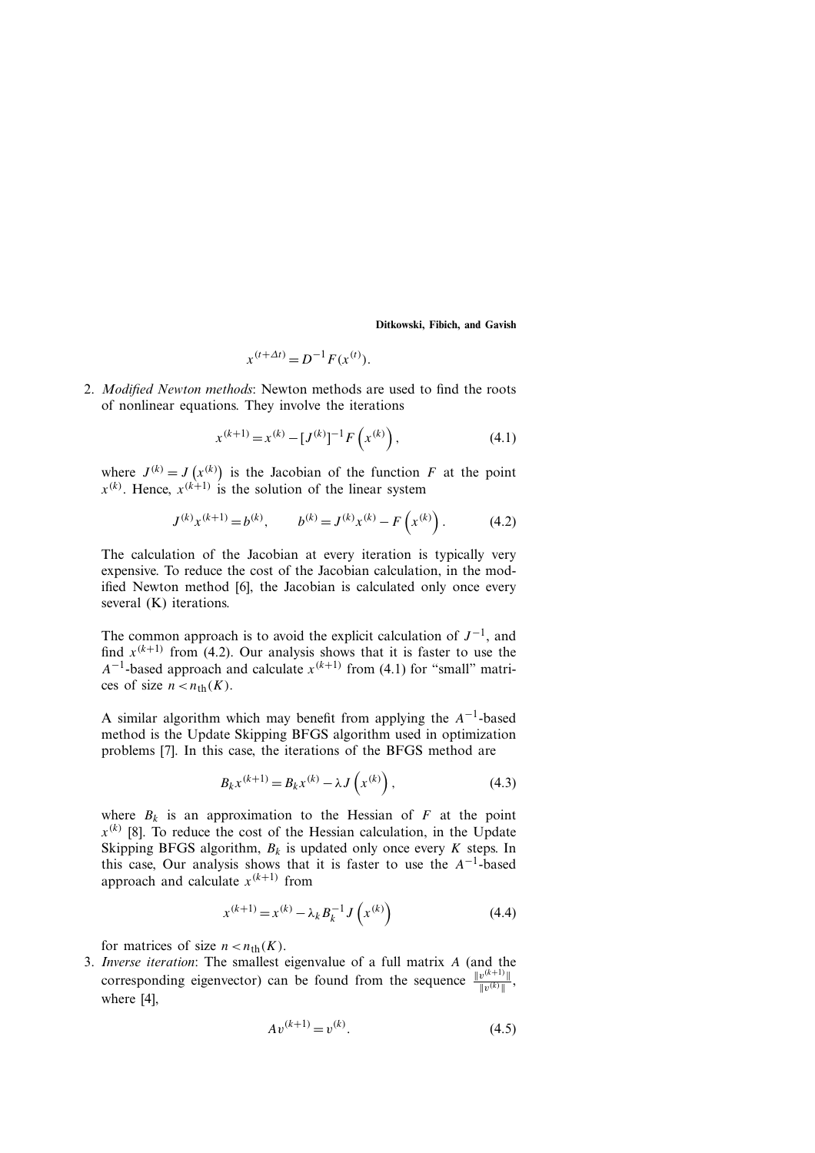$$
x^{(t+\Delta t)} = D^{-1} F(x^{(t)}).
$$

2. *Modified Newton methods*: Newton methods are used to find the roots of nonlinear equations. They involve the iterations

$$
x^{(k+1)} = x^{(k)} - [J^{(k)}]^{-1} F\left(x^{(k)}\right),\tag{4.1}
$$

where  $J^{(k)} = J$  $(x^{(k)})$  is the Jacobian of the function *F* at the point  $x^{(k)}$ . Hence,  $x^{(k+1)}$  is the solution of the linear system

$$
J^{(k)}x^{(k+1)} = b^{(k)}, \qquad b^{(k)} = J^{(k)}x^{(k)} - F(x^{(k)}).
$$
 (4.2)

The calculation of the Jacobian at every iteration is typically very expensive. To reduce the cost of the Jacobian calculation, in the modified Newton method [6], the Jacobian is calculated only once every several (K) iterations.

The common approach is to avoid the explicit calculation of  $J^{-1}$ , and find  $x^{(k+1)}$  from (4.2). Our analysis shows that it is faster to use the  $A^{-1}$ -based approach and calculate  $x^{(k+1)}$  from (4.1) for "small" matrices of size  $n < n_{th}(K)$ .

A similar algorithm which may benefit from applying the *A*−1-based method is the Update Skipping BFGS algorithm used in optimization problems [7]. In this case, the iterations of the BFGS method are

$$
B_k x^{(k+1)} = B_k x^{(k)} - \lambda J\left(x^{(k)}\right),\tag{4.3}
$$

where  $B_k$  is an approximation to the Hessian of  $F$  at the point  $x^{(k)}$  [8]. To reduce the cost of the Hessian calculation, in the Update Skipping BFGS algorithm,  $B_k$  is updated only once every *K* steps. In this case, Our analysis shows that it is faster to use the *A*−1-based approach and calculate  $x^{(k+1)}$  from

$$
x^{(k+1)} = x^{(k)} - \lambda_k B_k^{-1} J\left(x^{(k)}\right)
$$
 (4.4)

for matrices of size  $n < n_{\text{th}}(K)$ .

3. *Inverse iteration*: The smallest eigenvalue of a full matrix *A* (and the corresponding eigenvector) can be found from the sequence  $\frac{\Vert v^{(k+1)} \Vert}{\Vert v^{(k)} \Vert}$ , where [4],

$$
Av^{(k+1)} = v^{(k)}.
$$
\n(4.5)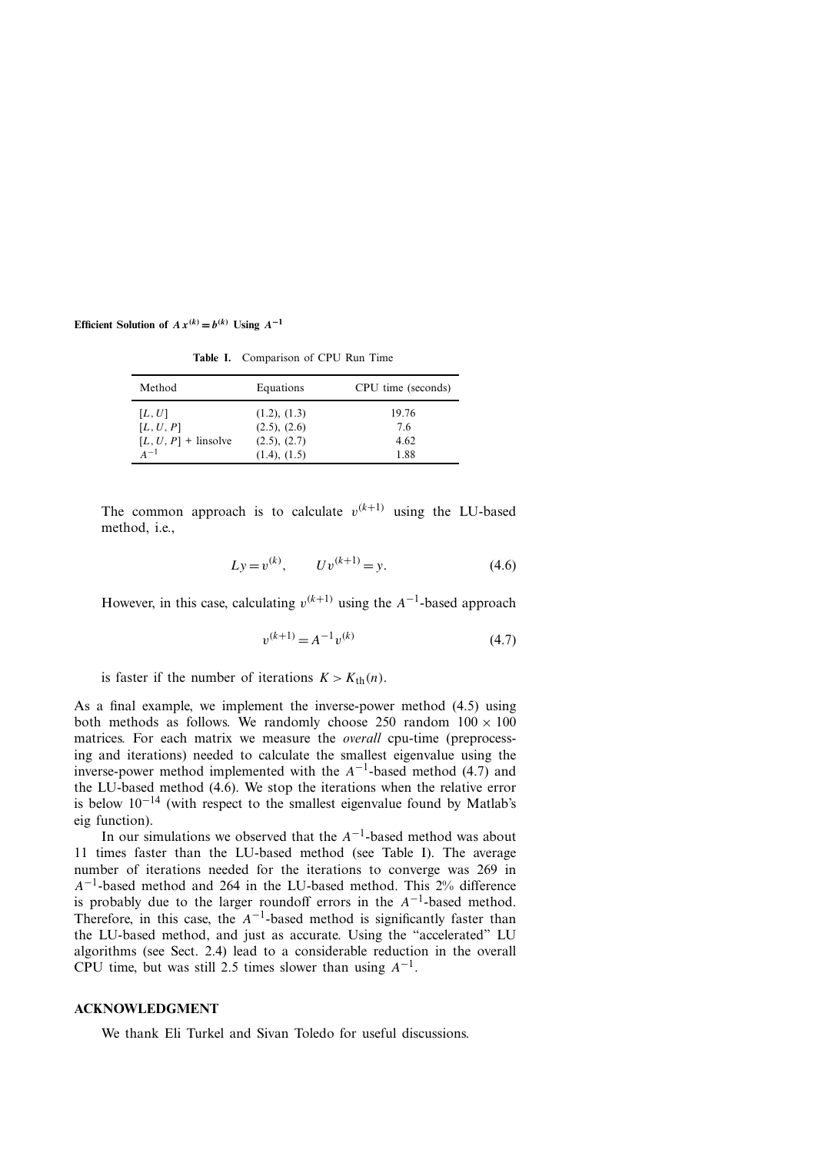| Method                 | Equations         | CPU time (seconds) |
|------------------------|-------------------|--------------------|
| [L, U]                 | (1.2), (1.3)      | 19.76              |
| [L, U, P]              | (2.5), (2.6)      | 76                 |
| $[L, U, P]$ + linsolve | (2.5), (2.7)      | 4.62               |
| $A-1$                  | $(1.4)$ , $(1.5)$ | 1.88               |

**Table I.** Comparison of CPU Run Time

The common approach is to calculate  $v^{(k+1)}$  using the LU-based method, i.e.,

$$
Ly = v^{(k)}, \qquad Uv^{(k+1)} = y. \tag{4.6}
$$

However, in this case, calculating  $v^{(k+1)}$  using the  $A^{-1}$ -based approach

$$
v^{(k+1)} = A^{-1}v^{(k)}
$$
\n(4.7)

is faster if the number of iterations  $K > K<sub>th</sub>(n)$ .

As a final example, we implement the inverse-power method (4.5) using both methods as follows. We randomly choose 250 random  $100 \times 100$ matrices. For each matrix we measure the *overall* cpu-time (preprocessing and iterations) needed to calculate the smallest eigenvalue using the inverse-power method implemented with the  $A^{-1}$ -based method (4.7) and the LU-based method (4.6). We stop the iterations when the relative error is below 10−<sup>14</sup> (with respect to the smallest eigenvalue found by Matlab's eig function).

In our simulations we observed that the *A*−1-based method was about 11 times faster than the LU-based method (see Table I). The average number of iterations needed for the iterations to converge was 269 in *A*−1-based method and 264 in the LU-based method. This 2% difference is probably due to the larger roundoff errors in the *A*−1-based method. Therefore, in this case, the  $A^{-1}$ -based method is significantly faster than the LU-based method, and just as accurate. Using the "accelerated" LU algorithms (see Sect. 2.4) lead to a considerable reduction in the overall CPU time, but was still 2.5 times slower than using  $A^{-1}$ .

#### **ACKNOWLEDGMENT**

We thank Eli Turkel and Sivan Toledo for useful discussions.